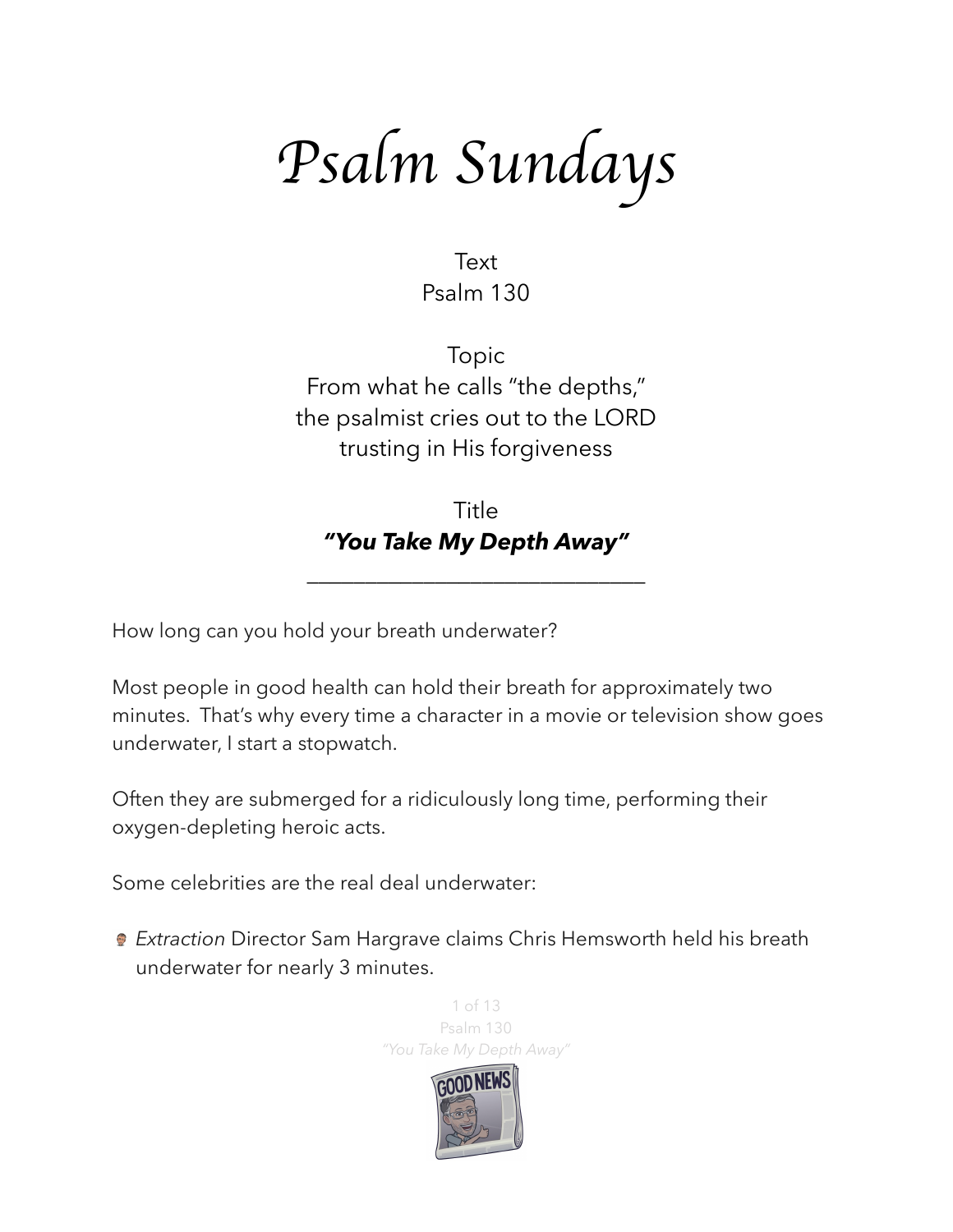*Psalm Sundays*

Text Psalm 130

Topic From what he calls "the depths," the psalmist cries out to the LORD trusting in His forgiveness

Title *"You Take My Depth Away"* 

\_\_\_\_\_\_\_\_\_\_\_\_\_\_\_\_\_\_\_\_\_\_\_\_\_\_\_\_\_

How long can you hold your breath underwater?

Most people in good health can hold their breath for approximately two minutes. That's why every time a character in a movie or television show goes underwater, I start a stopwatch.

Often they are submerged for a ridiculously long time, performing their oxygen-depleting heroic acts.

Some celebrities are the real deal underwater:

*Extraction* Director Sam Hargrave claims Chris Hemsworth held his breath underwater for nearly 3 minutes.

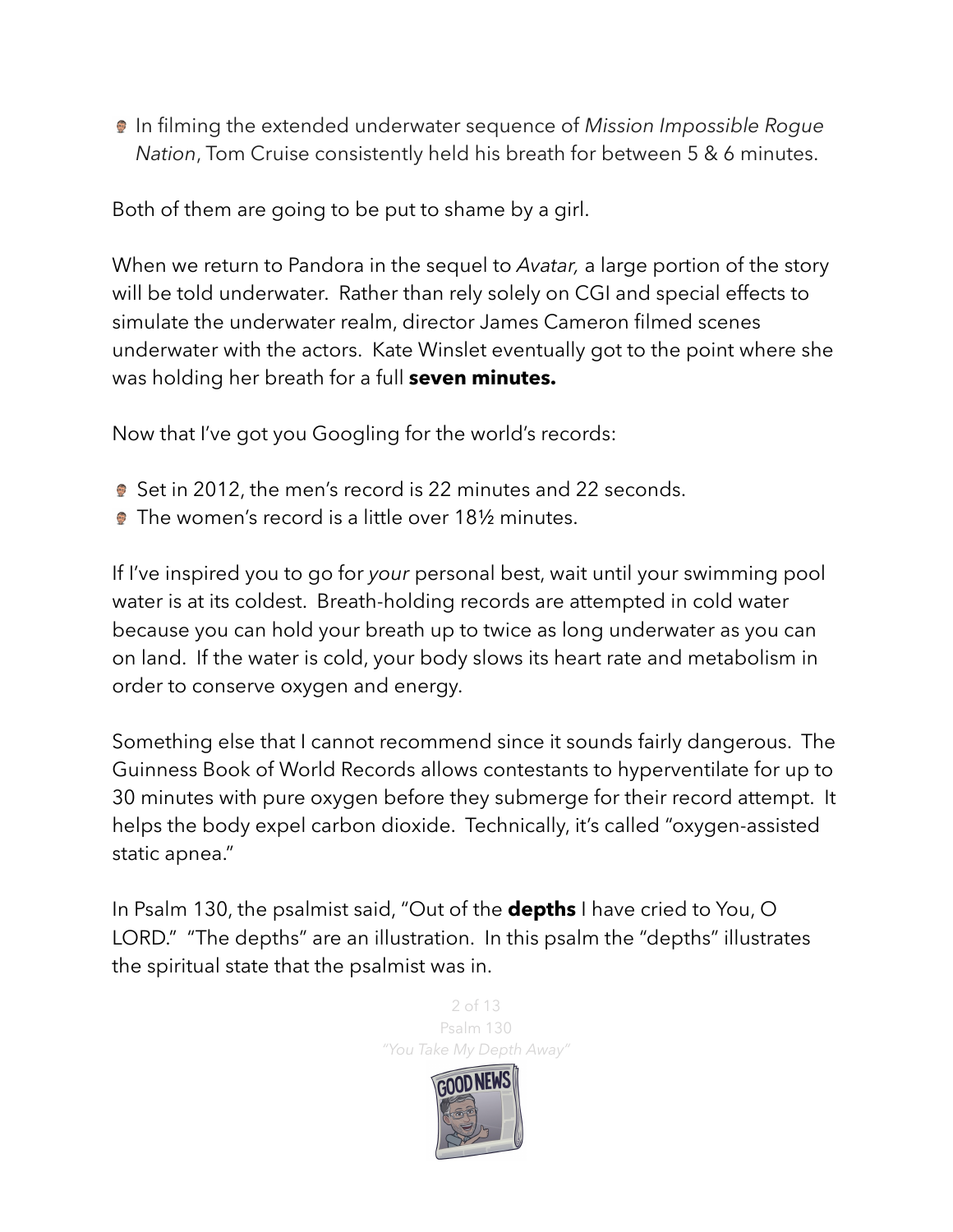In filming the extended underwater sequence of *Mission Impossible Rogue Nation*, Tom Cruise consistently held his breath for between 5 & 6 minutes.

Both of them are going to be put to shame by a girl.

When we return to Pandora in the sequel to *Avatar,* a large portion of the story will be told underwater. Rather than rely solely on CGI and special effects to simulate the underwater realm, director [James Cameron](https://www.cinemablend.com/news/2461480/james-cameron-reveals-principal-shooting-is-finally-done-for-avatar-2-and-3) [filmed scenes](https://www.cinemablend.com/news/1730290/apparently-part-of-avatar-2-is-being-shot-underwater)  [underwater](https://www.cinemablend.com/news/1730290/apparently-part-of-avatar-2-is-being-shot-underwater) with the actors. Kate Winslet eventually got to the point where she was holding her breath for a full **seven minutes.** 

Now that I've got you Googling for the world's records:

- **Set in 2012, the men's record is 22 minutes and 22 seconds.**
- **The women's record is a little over 181/2 minutes.**

If I've inspired you to go for *your* personal best, wait until your swimming pool water is at its coldest. Breath-holding records are attempted in cold water because you can hold your breath up to twice as long underwater as you can on land. If the water is cold, your body slows its heart rate and metabolism in order to conserve oxygen and energy.

Something else that I cannot recommend since it sounds fairly dangerous. The Guinness Book of World Records allows contestants to hyperventilate for up to 30 minutes with pure oxygen before they submerge for their record attempt. It helps the body expel carbon dioxide. Technically, it's called "oxygen-assisted static apnea."

In Psalm 130, the psalmist said, "Out of the **depths** I have cried to You, O LORD." "The depths" are an illustration. In this psalm the "depths" illustrates the spiritual state that the psalmist was in.

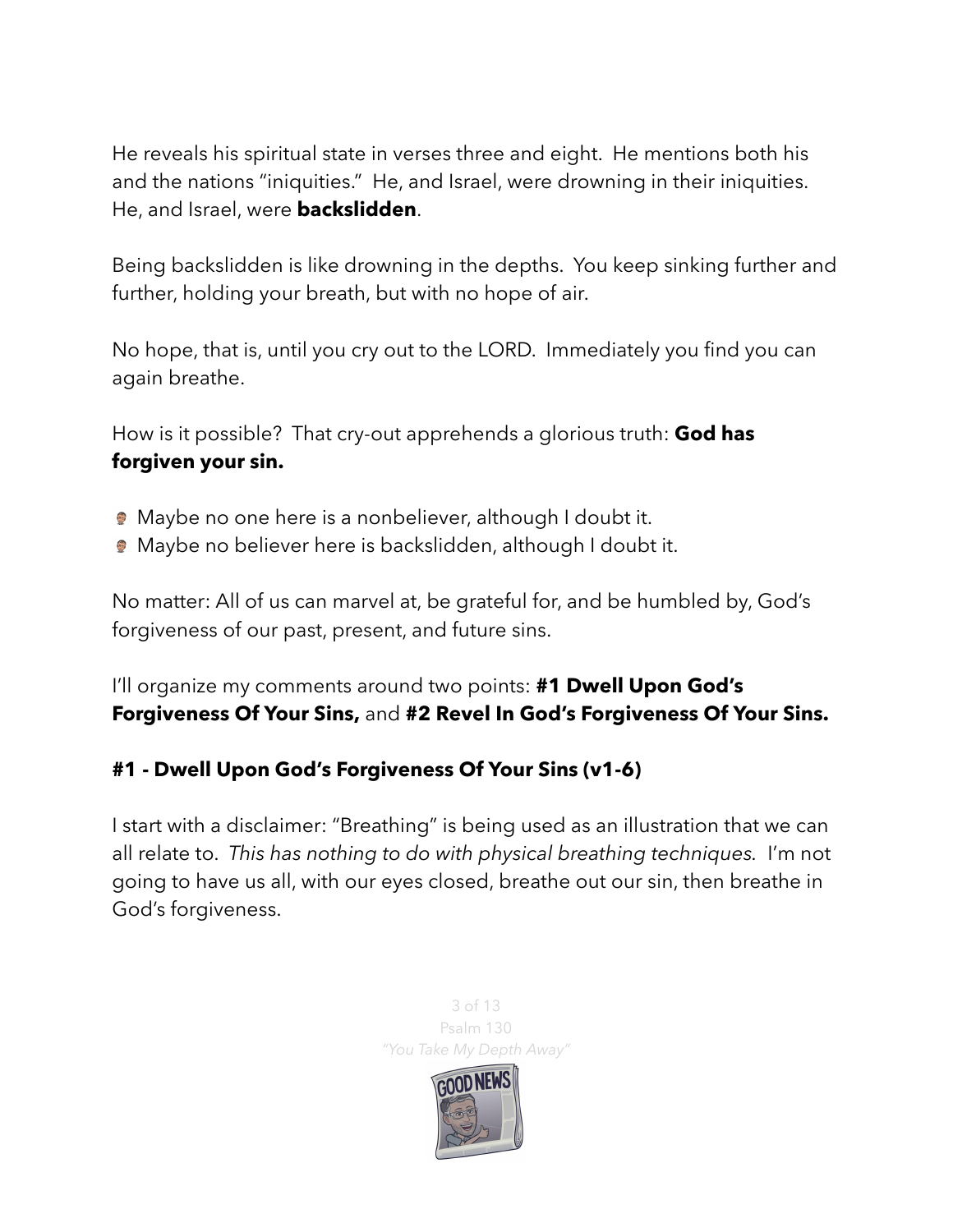He reveals his spiritual state in verses three and eight. He mentions both his and the nations "iniquities." He, and Israel, were drowning in their iniquities. He, and Israel, were **backslidden**.

Being backslidden is like drowning in the depths. You keep sinking further and further, holding your breath, but with no hope of air.

No hope, that is, until you cry out to the LORD. Immediately you find you can again breathe.

How is it possible? That cry-out apprehends a glorious truth: **God has forgiven your sin.** 

- Maybe no one here is a nonbeliever, although I doubt it.
- Maybe no believer here is backslidden, although I doubt it.

No matter: All of us can marvel at, be grateful for, and be humbled by, God's forgiveness of our past, present, and future sins.

I'll organize my comments around two points: **#1 Dwell Upon God's Forgiveness Of Your Sins,** and **#2 Revel In God's Forgiveness Of Your Sins.** 

## **#1 - Dwell Upon God's Forgiveness Of Your Sins (v1-6)**

I start with a disclaimer: "Breathing" is being used as an illustration that we can all relate to. *This has nothing to do with physical breathing techniques.* I'm not going to have us all, with our eyes closed, breathe out our sin, then breathe in God's forgiveness.

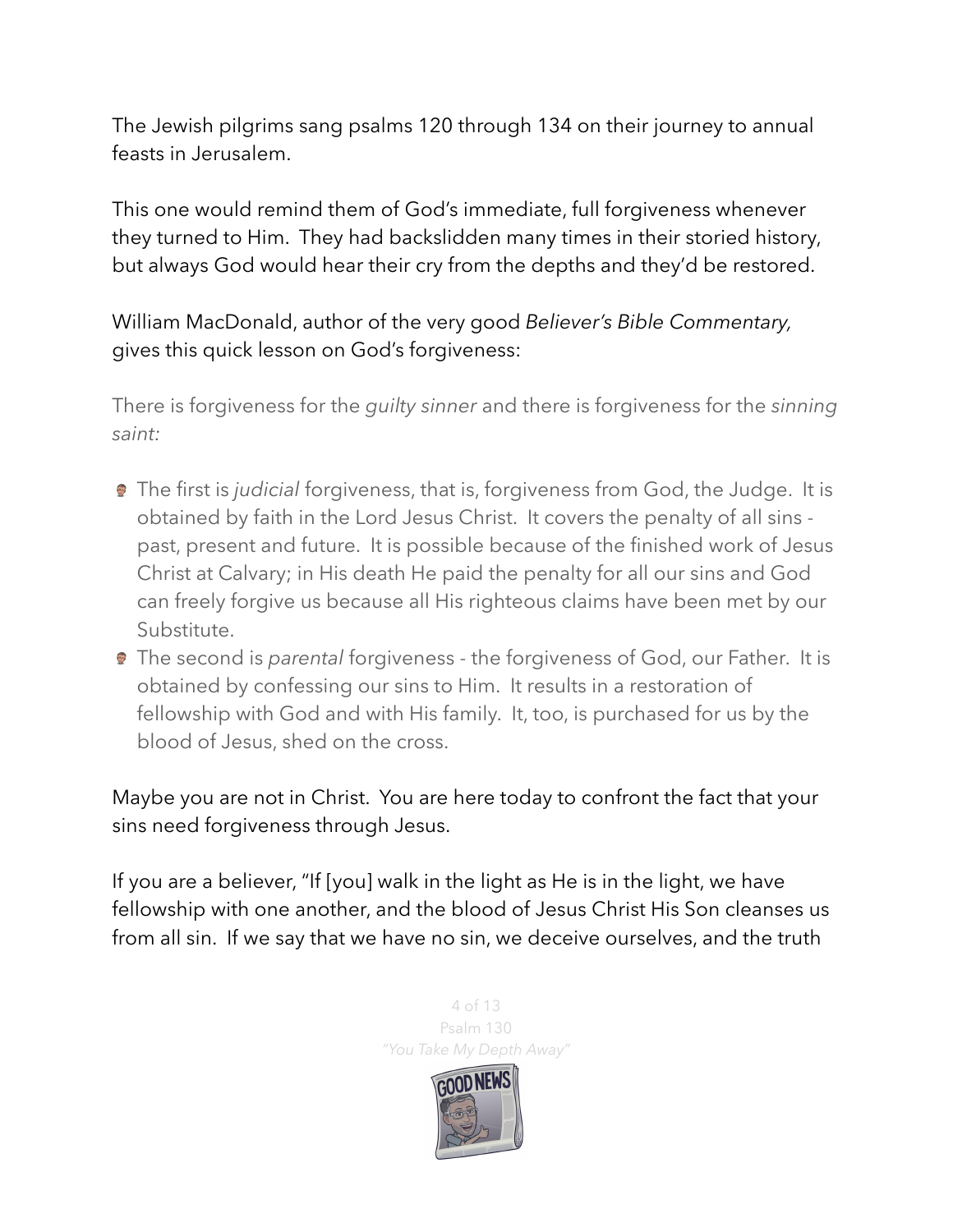The Jewish pilgrims sang psalms 120 through 134 on their journey to annual feasts in Jerusalem.

This one would remind them of God's immediate, full forgiveness whenever they turned to Him. They had backslidden many times in their storied history, but always God would hear their cry from the depths and they'd be restored.

William MacDonald, author of the very good *Believer's Bible Commentary,* gives this quick lesson on God's forgiveness:

There is forgiveness for the *guilty sinner* and there is forgiveness for the *sinning saint:*

- The first is *judicial* forgiveness, that is, forgiveness from God, the Judge. It is obtained by faith in the Lord Jesus Christ. It covers the penalty of all sins past, present and future. It is possible because of the finished work of Jesus Christ at Calvary; in His death He paid the penalty for all our sins and God can freely forgive us because all His righteous claims have been met by our Substitute.
- The second is *parental* forgiveness the forgiveness of God, our Father. It is obtained by confessing our sins to Him. It results in a restoration of fellowship with God and with His family. It, too, is purchased for us by the blood of Jesus, shed on the cross.

Maybe you are not in Christ. You are here today to confront the fact that your sins need forgiveness through Jesus.

If you are a believer, "If [you] walk in the light as He is in the light, we have fellowship with one another, and the blood of Jesus Christ His Son cleanses us from all sin. If we say that we have no sin, we deceive ourselves, and the truth

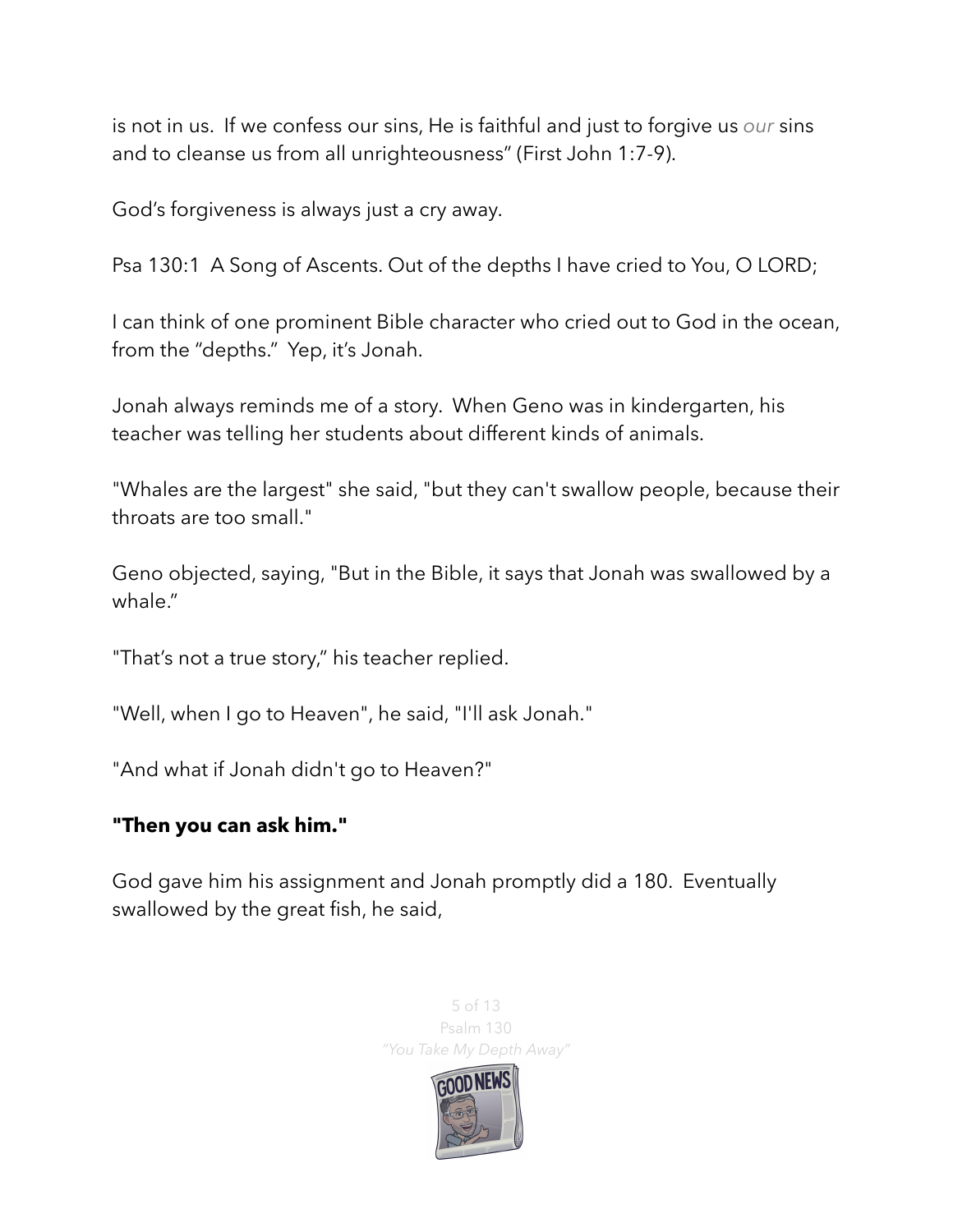is not in us. If we confess our sins, He is faithful and just to forgive us *our* sins and to cleanse us from all unrighteousness" (First John 1:7-9).

God's forgiveness is always just a cry away.

Psa 130:1 A Song of Ascents. Out of the depths I have cried to You, O LORD;

I can think of one prominent Bible character who cried out to God in the ocean, from the "depths." Yep, it's Jonah.

Jonah always reminds me of a story. When Geno was in kindergarten, his teacher was telling her students about different kinds of animals.

"Whales are the largest" she said, "but they can't swallow people, because their throats are too small."

Geno objected, saying, "But in the Bible, it says that Jonah was swallowed by a whale."

"That's not a true story," his teacher replied.

"Well, when I go to Heaven", he said, "I'll ask Jonah."

"And what if Jonah didn't go to Heaven?"

## **"Then you can ask him."**

God gave him his assignment and Jonah promptly did a 180. Eventually swallowed by the great fish, he said,

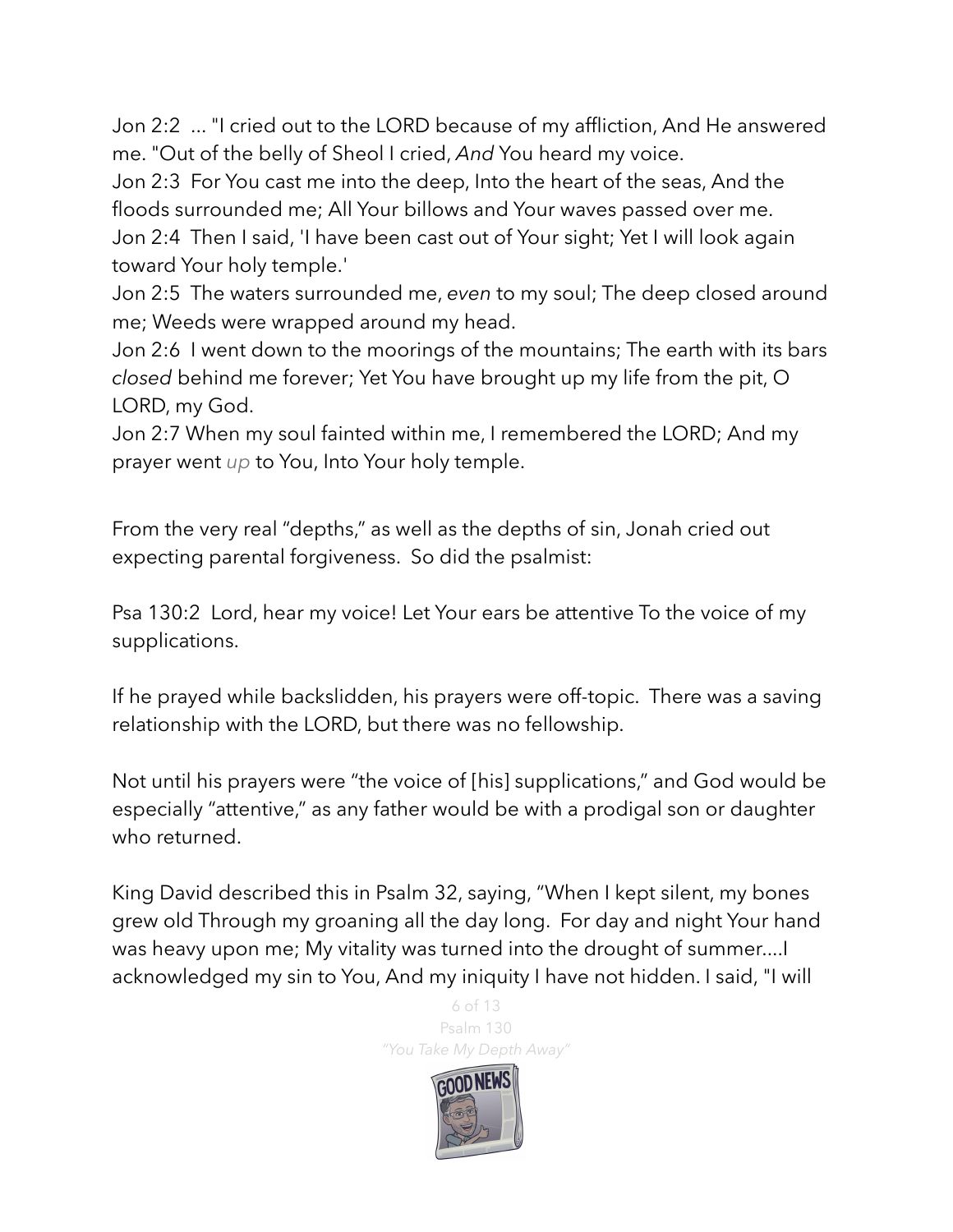Jon 2:2 ... "I cried out to the LORD because of my affliction, And He answered me. "Out of the belly of Sheol I cried, *And* You heard my voice.

Jon 2:3 For You cast me into the deep, Into the heart of the seas, And the floods surrounded me; All Your billows and Your waves passed over me.

Jon 2:4 Then I said, 'I have been cast out of Your sight; Yet I will look again toward Your holy temple.'

Jon 2:5 The waters surrounded me, *even* to my soul; The deep closed around me; Weeds were wrapped around my head.

Jon 2:6 I went down to the moorings of the mountains; The earth with its bars *closed* behind me forever; Yet You have brought up my life from the pit, O LORD, my God.

Jon 2:7 When my soul fainted within me, I remembered the LORD; And my prayer went *up* to You, Into Your holy temple.

From the very real "depths," as well as the depths of sin, Jonah cried out expecting parental forgiveness. So did the psalmist:

Psa 130:2 Lord, hear my voice! Let Your ears be attentive To the voice of my supplications.

If he prayed while backslidden, his prayers were off-topic. There was a saving relationship with the LORD, but there was no fellowship.

Not until his prayers were "the voice of [his] supplications," and God would be especially "attentive," as any father would be with a prodigal son or daughter who returned.

King David described this in Psalm 32, saying, "When I kept silent, my bones grew old Through my groaning all the day long. For day and night Your hand was heavy upon me; My vitality was turned into the drought of summer....I acknowledged my sin to You, And my iniquity I have not hidden. I said, "I will

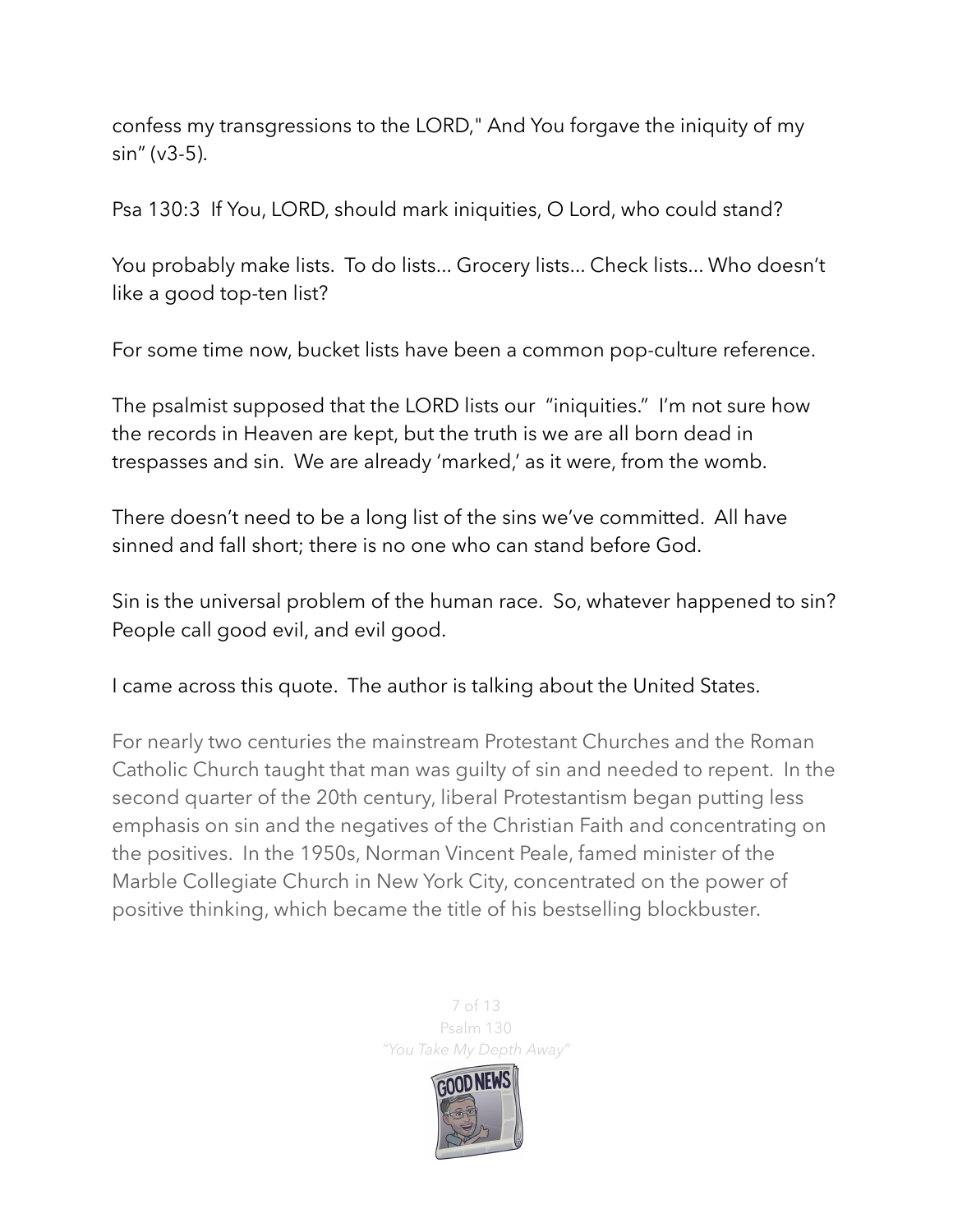confess my transgressions to the LORD," And You forgave the iniquity of my sin" (v3-5).

Psa 130:3 If You, LORD, should mark iniquities, O Lord, who could stand?

You probably make lists. To do lists... Grocery lists... Check lists... Who doesn't like a good top-ten list?

For some time now, bucket lists have been a common pop-culture reference.

The psalmist supposed that the LORD lists our "iniquities." I'm not sure how the records in Heaven are kept, but the truth is we are all born dead in trespasses and sin. We are already 'marked,' as it were, from the womb.

There doesn't need to be a long list of the sins we've committed. All have sinned and fall short; there is no one who can stand before God.

Sin is the universal problem of the human race. So, whatever happened to sin? People call good evil, and evil good.

I came across this quote. The author is talking about the United States.

For nearly two centuries the mainstream Protestant Churches and the Roman Catholic Church taught that man was guilty of sin and needed to repent. In the second quarter of the 20th century, liberal Protestantism began putting less emphasis on sin and the negatives of the Christian Faith and concentrating on the positives. In the 1950s, Norman Vincent Peale, famed minister of the Marble Collegiate Church in New York City, concentrated on the power of positive thinking, which became the title of his bestselling blockbuster.

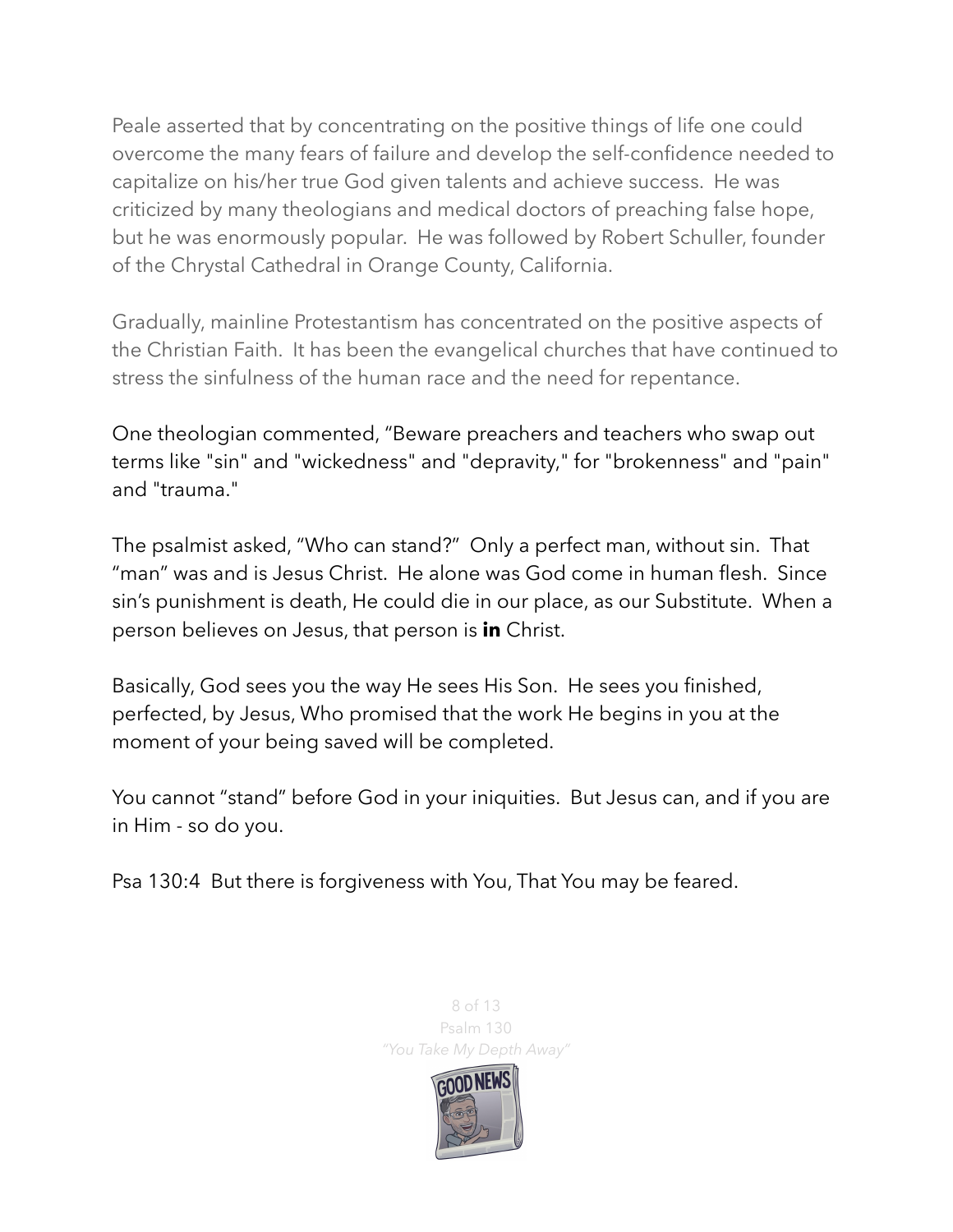Peale asserted that by concentrating on the positive things of life one could overcome the many fears of failure and develop the self-confidence needed to capitalize on his/her true God given talents and achieve success. He was criticized by many theologians and medical doctors of preaching false hope, but he was enormously popular. He was followed by Robert Schuller, founder of the Chrystal Cathedral in Orange County, California.

Gradually, mainline Protestantism has concentrated on the positive aspects of the Christian Faith. It has been the evangelical churches that have continued to stress the sinfulness of the human race and the need for repentance.

One theologian commented, "Beware preachers and teachers who swap out terms like "sin" and "wickedness" and "depravity," for "brokenness" and "pain" and "trauma."

The psalmist asked, "Who can stand?" Only a perfect man, without sin. That "man" was and is Jesus Christ. He alone was God come in human flesh. Since sin's punishment is death, He could die in our place, as our Substitute. When a person believes on Jesus, that person is **in** Christ.

Basically, God sees you the way He sees His Son. He sees you finished, perfected, by Jesus, Who promised that the work He begins in you at the moment of your being saved will be completed.

You cannot "stand" before God in your iniquities. But Jesus can, and if you are in Him - so do you.

Psa 130:4 But there is forgiveness with You, That You may be feared.



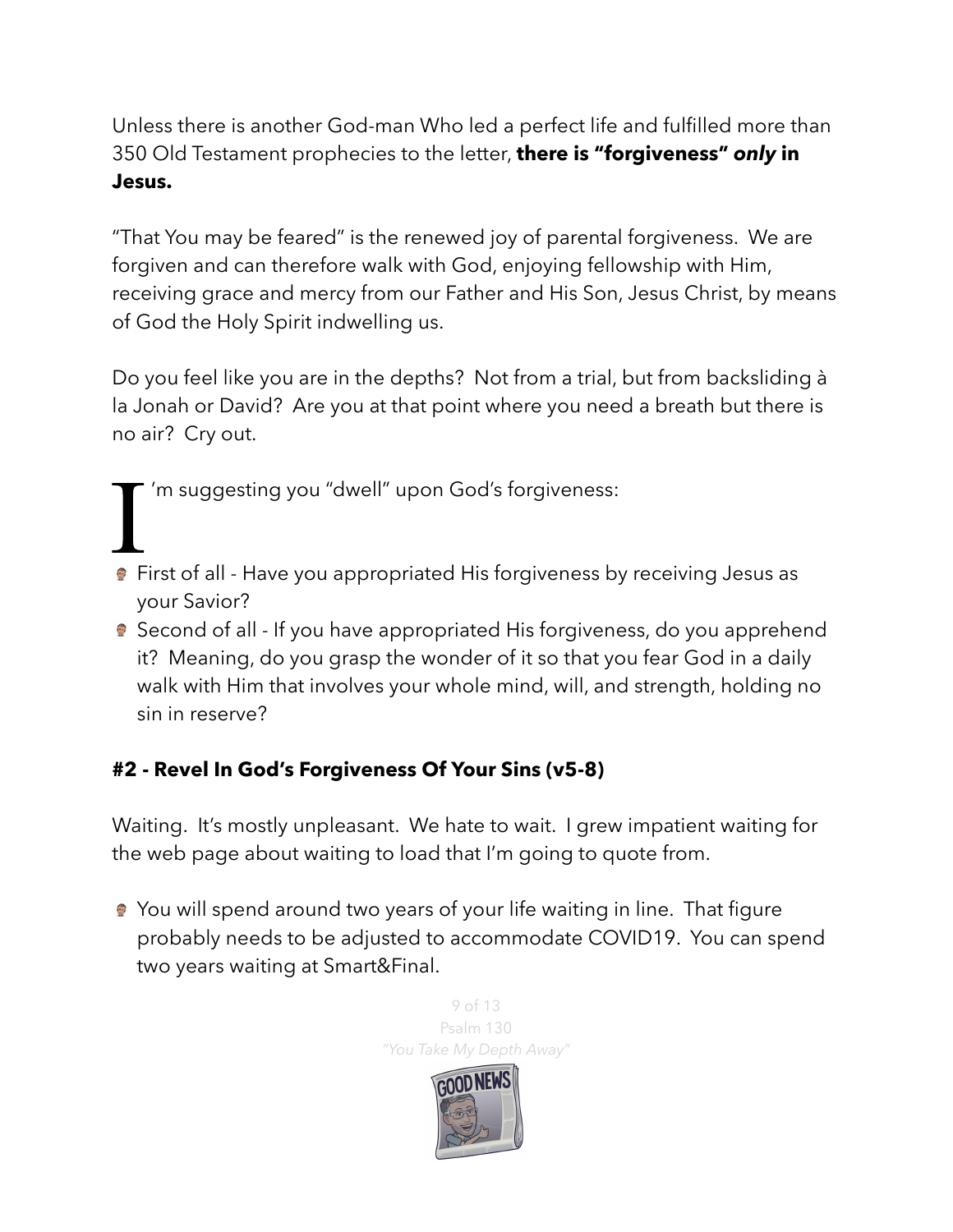Unless there is another God-man Who led a perfect life and fulfilled more than 350 Old Testament prophecies to the letter, **there is "forgiveness"** *only* **in Jesus.**

"That You may be feared" is the renewed joy of parental forgiveness. We are forgiven and can therefore walk with God, enjoying fellowship with Him, receiving grace and mercy from our Father and His Son, Jesus Christ, by means of God the Holy Spirit indwelling us.

Do you feel like you are in the depths? Not from a trial, but from backsliding à la Jonah or David? Are you at that point where you need a breath but there is no air? Cry out.

'm suggesting you "dwell" upon God's forgiveness:

- I'm suggesting you "dwell" upon God's forgiveness:<br>• First of all Have you appropriated His forgiveness by receiving Jesus as your Savior?
- Second of all If you have appropriated His forgiveness, do you apprehend it? Meaning, do you grasp the wonder of it so that you fear God in a daily walk with Him that involves your whole mind, will, and strength, holding no sin in reserve?

## **#2 - Revel In God's Forgiveness Of Your Sins (v5-8)**

Waiting. It's mostly unpleasant. We hate to wait. I grew impatient waiting for the web page about waiting to load that I'm going to quote from.

● You will spend around two years of your life waiting in line. That figure probably needs to be adjusted to accommodate COVID19. You can spend two years waiting at Smart&Final.

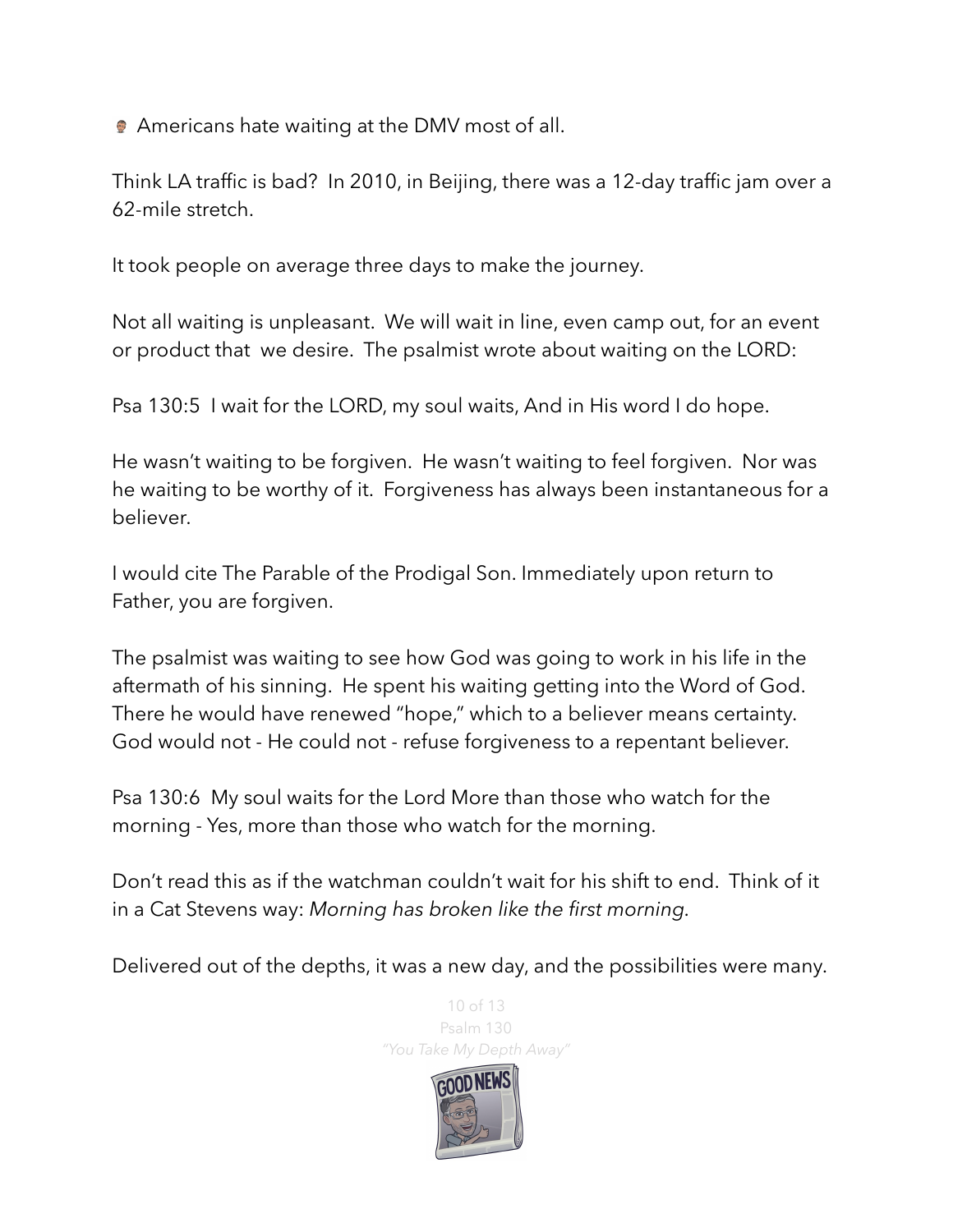**Americans hate waiting at the DMV most of all.** 

Think LA traffic is bad? In 2010, in Beijing, there was a 12-day traffic jam over a 62-mile stretch.

It took people on average three days to make the journey.

Not all waiting is unpleasant. We will wait in line, even camp out, for an event or product that we desire. The psalmist wrote about waiting on the LORD:

Psa 130:5 I wait for the LORD, my soul waits, And in His word I do hope.

He wasn't waiting to be forgiven. He wasn't waiting to feel forgiven. Nor was he waiting to be worthy of it. Forgiveness has always been instantaneous for a believer.

I would cite The Parable of the Prodigal Son. Immediately upon return to Father, you are forgiven.

The psalmist was waiting to see how God was going to work in his life in the aftermath of his sinning. He spent his waiting getting into the Word of God. There he would have renewed "hope," which to a believer means certainty. God would not - He could not - refuse forgiveness to a repentant believer.

Psa 130:6 My soul waits for the Lord More than those who watch for the morning - Yes, more than those who watch for the morning.

Don't read this as if the watchman couldn't wait for his shift to end. Think of it in a Cat Stevens way: *Morning has broken like the first morning.*

Delivered out of the depths, it was a new day, and the possibilities were many.

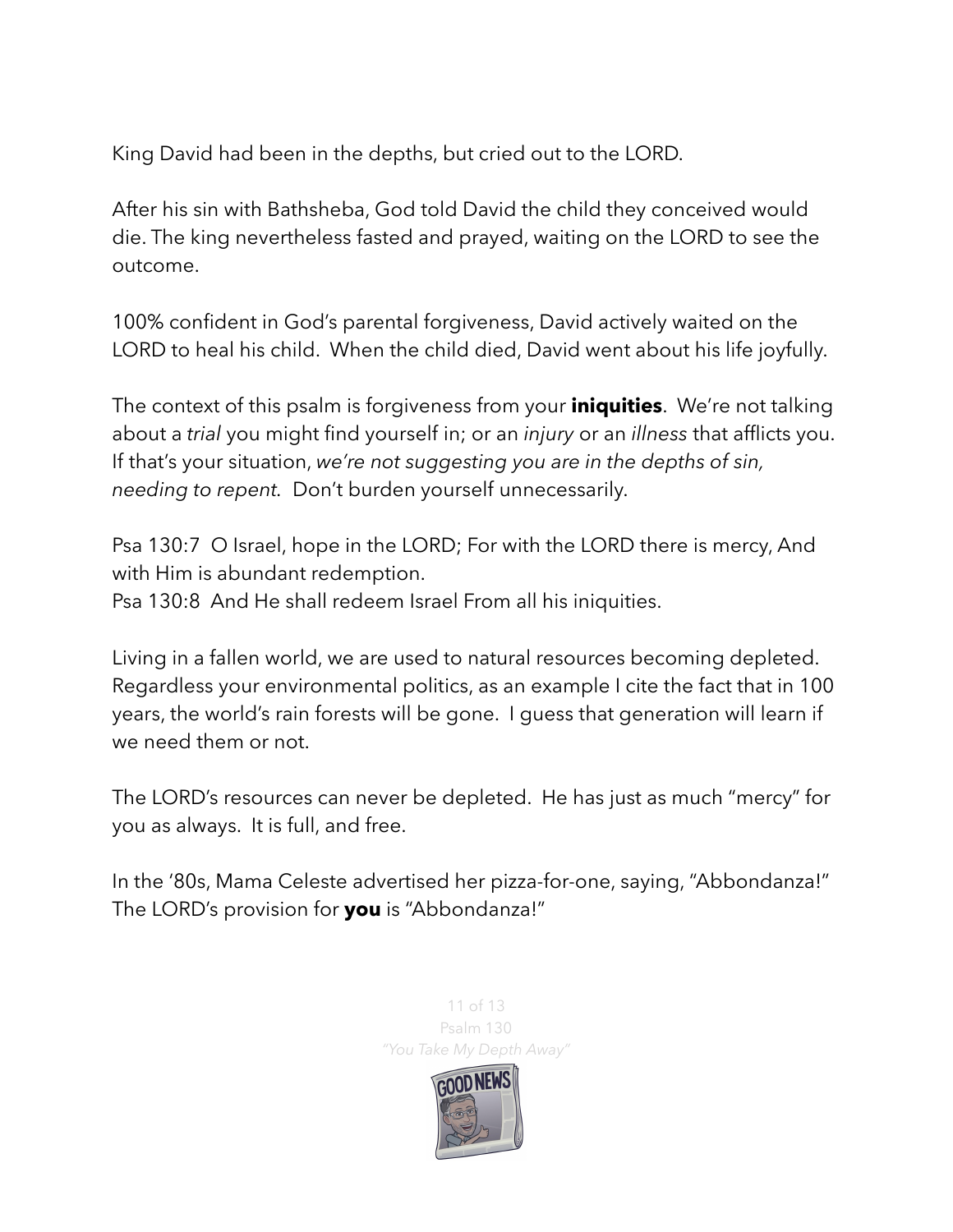King David had been in the depths, but cried out to the LORD.

After his sin with Bathsheba, God told David the child they conceived would die. The king nevertheless fasted and prayed, waiting on the LORD to see the outcome.

100% confident in God's parental forgiveness, David actively waited on the LORD to heal his child. When the child died, David went about his life joyfully.

The context of this psalm is forgiveness from your **iniquities**. We're not talking about a *trial* you might find yourself in; or an *injury* or an *illness* that afflicts you. If that's your situation, *we're not suggesting you are in the depths of sin, needing to repent.* Don't burden yourself unnecessarily.

Psa 130:7 O Israel, hope in the LORD; For with the LORD there is mercy, And with Him is abundant redemption.

Psa 130:8 And He shall redeem Israel From all his iniquities.

Living in a fallen world, we are used to natural resources becoming depleted. Regardless your environmental politics, as an example I cite the fact that in 100 years, the world's rain forests will be gone. I guess that generation will learn if we need them or not.

The LORD's resources can never be depleted. He has just as much "mercy" for you as always. It is full, and free.

In the '80s, Mama Celeste advertised her pizza-for-one, saying, "Abbondanza!" The LORD's provision for **you** is "Abbondanza!"

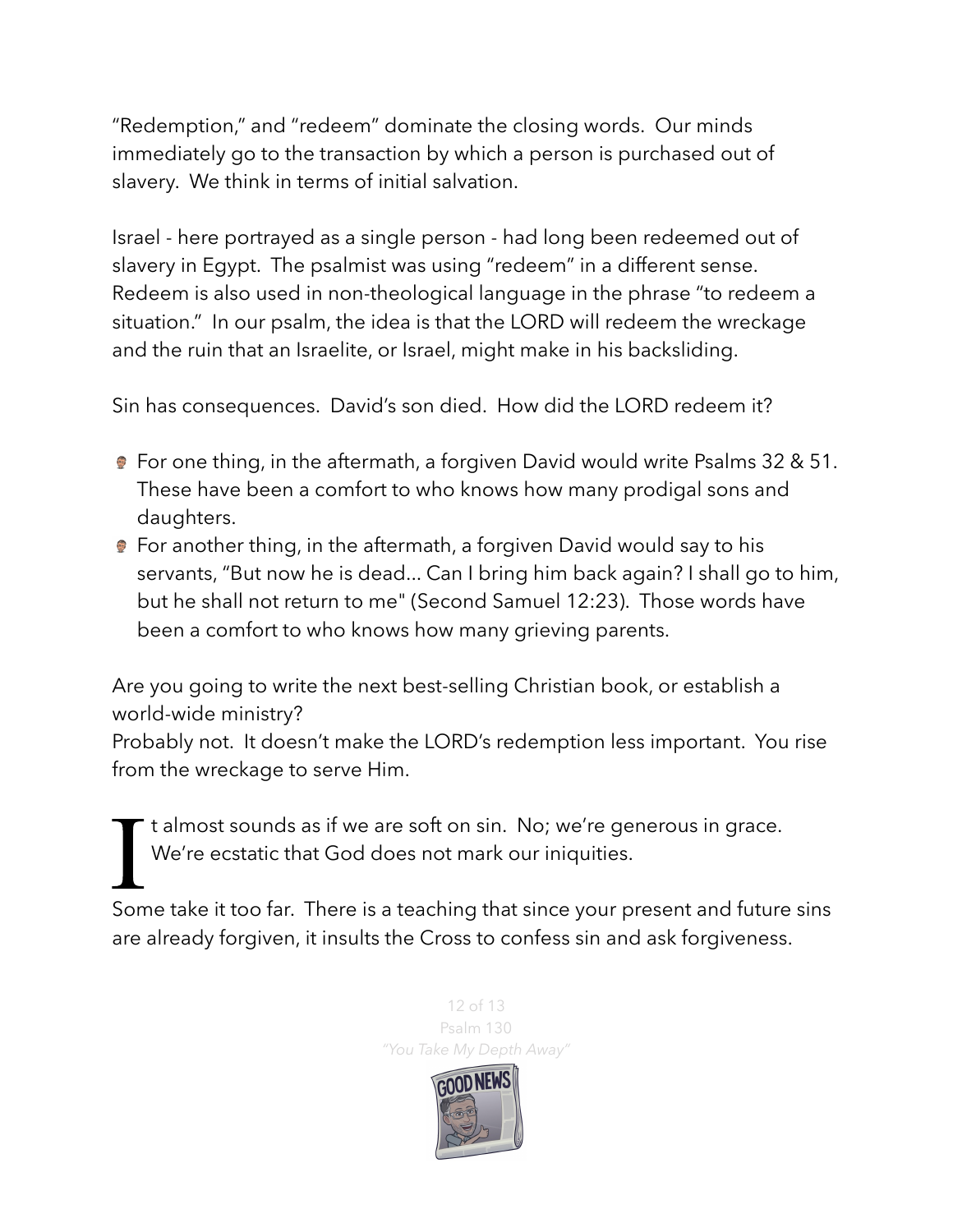"Redemption," and "redeem" dominate the closing words. Our minds immediately go to the transaction by which a person is purchased out of slavery. We think in terms of initial salvation.

Israel - here portrayed as a single person - had long been redeemed out of slavery in Egypt. The psalmist was using "redeem" in a different sense. Redeem is also used in non-theological language in the phrase "to redeem a situation." In our psalm, the idea is that the LORD will redeem the wreckage and the ruin that an Israelite, or Israel, might make in his backsliding.

Sin has consequences. David's son died. How did the LORD redeem it?

- For one thing, in the aftermath, a forgiven David would write Psalms 32 & 51. These have been a comfort to who knows how many prodigal sons and daughters.
- **•** For another thing, in the aftermath, a forgiven David would say to his servants, "But now he is dead... Can I bring him back again? I shall go to him, but he shall not return to me" (Second Samuel 12:23). Those words have been a comfort to who knows how many grieving parents.

Are you going to write the next best-selling Christian book, or establish a world-wide ministry?

Probably not. It doesn't make the LORD's redemption less important. You rise from the wreckage to serve Him.

I<br>Som t almost sounds as if we are soft on sin. No; we're generous in grace. We're ecstatic that God does not mark our iniquities.

Some take it too far. There is a teaching that since your present and future sins are already forgiven, it insults the Cross to confess sin and ask forgiveness.